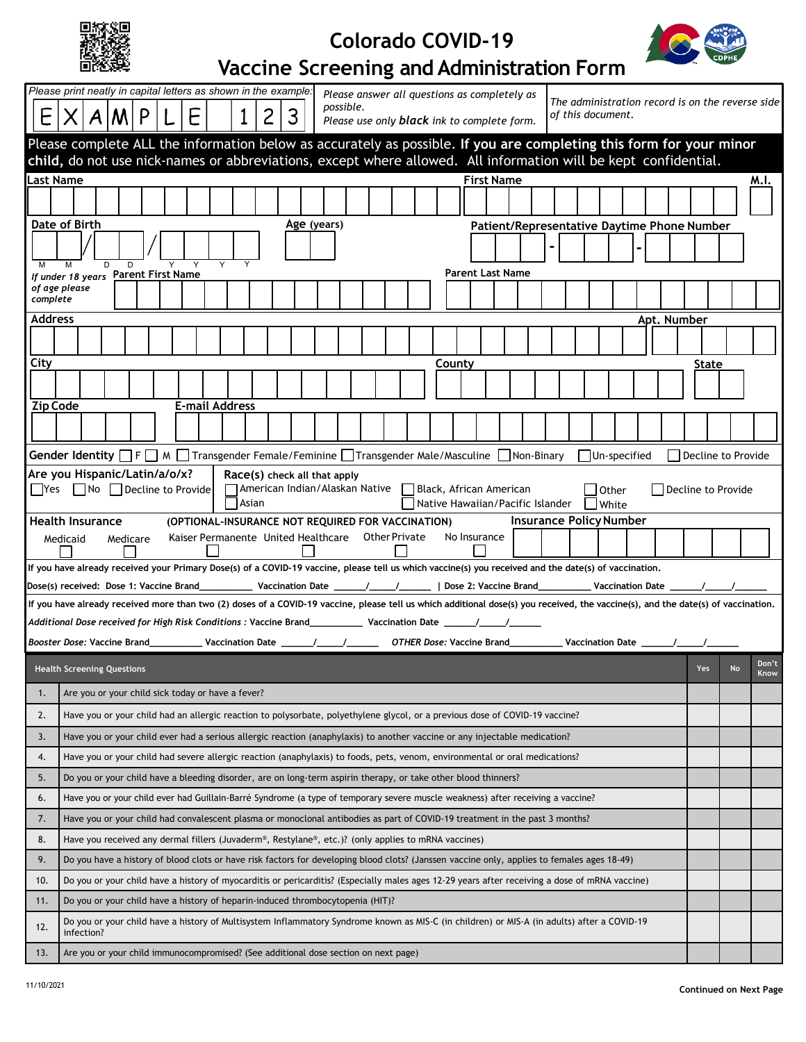| П<br>BЯ<br>4,<br>¢,<br>æ<br>ں<br>×<br>Жy.<br>ī |
|------------------------------------------------|
|------------------------------------------------|

## **Colorado COVID-19**



## **Vaccine Screening and Administration Form**

| possible.<br>$A$ $ M $ $P$<br>2<br>3<br>E<br>E<br>1<br>of this document.<br> X                                                                                                                                                         | The administration record is on the reverse side |               |  |  |  |  |  |  |  |  |  |  |  |  |
|----------------------------------------------------------------------------------------------------------------------------------------------------------------------------------------------------------------------------------------|--------------------------------------------------|---------------|--|--|--|--|--|--|--|--|--|--|--|--|
| Please use only <b>black</b> ink to complete form.                                                                                                                                                                                     |                                                  |               |  |  |  |  |  |  |  |  |  |  |  |  |
| Please complete ALL the information below as accurately as possible. If you are completing this form for your minor<br>child, do not use nick-names or abbreviations, except where allowed. All information will be kept confidential. |                                                  |               |  |  |  |  |  |  |  |  |  |  |  |  |
| Last Name<br><b>First Name</b>                                                                                                                                                                                                         |                                                  | M.I.          |  |  |  |  |  |  |  |  |  |  |  |  |
|                                                                                                                                                                                                                                        |                                                  |               |  |  |  |  |  |  |  |  |  |  |  |  |
| Date of Birth<br>Age (years)<br>Patient/Representative Daytime Phone Number                                                                                                                                                            |                                                  |               |  |  |  |  |  |  |  |  |  |  |  |  |
| $\overline{Y}$<br>D<br>D<br>Y<br>M                                                                                                                                                                                                     |                                                  |               |  |  |  |  |  |  |  |  |  |  |  |  |
| <b>Parent Last Name</b><br>If under 18 years Parent First Name                                                                                                                                                                         |                                                  |               |  |  |  |  |  |  |  |  |  |  |  |  |
| of age please<br>complete                                                                                                                                                                                                              |                                                  |               |  |  |  |  |  |  |  |  |  |  |  |  |
| <b>Address</b><br>Apt. Number                                                                                                                                                                                                          |                                                  |               |  |  |  |  |  |  |  |  |  |  |  |  |
|                                                                                                                                                                                                                                        |                                                  |               |  |  |  |  |  |  |  |  |  |  |  |  |
| City<br>County                                                                                                                                                                                                                         | State                                            |               |  |  |  |  |  |  |  |  |  |  |  |  |
|                                                                                                                                                                                                                                        |                                                  |               |  |  |  |  |  |  |  |  |  |  |  |  |
| <b>Zip Code</b><br><b>E-mail Address</b>                                                                                                                                                                                               |                                                  |               |  |  |  |  |  |  |  |  |  |  |  |  |
|                                                                                                                                                                                                                                        |                                                  |               |  |  |  |  |  |  |  |  |  |  |  |  |
| Gender Identity $\Box$ F $\Box$ M $\Box$ Transgender Female/Feminine $\Box$ Transgender Male/Masculine $\Box$ Non-Binary<br>Un-specified                                                                                               | Decline to Provide                               |               |  |  |  |  |  |  |  |  |  |  |  |  |
| Are you Hispanic/Latin/a/o/x?<br>Race(s) check all that apply                                                                                                                                                                          |                                                  |               |  |  |  |  |  |  |  |  |  |  |  |  |
| $\Box$ Yes $\Box$ No $\Box$ Decline to Provide<br>□ American Indian/Alaskan Native □ Black, African American<br>l lOther<br>Asian<br>Native Hawaiian/Pacific Islander Nhite                                                            | Decline to Provide                               |               |  |  |  |  |  |  |  |  |  |  |  |  |
| <b>Insurance Policy Number</b><br>Health Insurance<br>(OPTIONAL-INSURANCE NOT REQUIRED FOR VACCINATION)                                                                                                                                |                                                  |               |  |  |  |  |  |  |  |  |  |  |  |  |
| No Insurance<br>Kaiser Permanente United Healthcare Other Private<br>Medicaid<br>Medicare                                                                                                                                              |                                                  |               |  |  |  |  |  |  |  |  |  |  |  |  |
| If you have already received your Primary Dose(s) of a COVID-19 vaccine, please tell us which vaccine(s) you received and the date(s) of vaccination.                                                                                  |                                                  |               |  |  |  |  |  |  |  |  |  |  |  |  |
| Dose(s) received: Dose 1: Vaccine Brand____________ Vaccination Date ______/______/________   Dose 2: Vaccine Brand____________ Vaccination Date ___                                                                                   |                                                  |               |  |  |  |  |  |  |  |  |  |  |  |  |
|                                                                                                                                                                                                                                        |                                                  |               |  |  |  |  |  |  |  |  |  |  |  |  |
| If you have already received more than two (2) doses of a COVID-19 vaccine, please tell us which additional dose(s) you received, the vaccine(s), and the date(s) of vaccination.                                                      |                                                  |               |  |  |  |  |  |  |  |  |  |  |  |  |
|                                                                                                                                                                                                                                        |                                                  |               |  |  |  |  |  |  |  |  |  |  |  |  |
|                                                                                                                                                                                                                                        |                                                  |               |  |  |  |  |  |  |  |  |  |  |  |  |
| <b>Health Screening Questions</b>                                                                                                                                                                                                      | Yes<br>No                                        | Don't<br>Know |  |  |  |  |  |  |  |  |  |  |  |  |
| Are you or your child sick today or have a fever?<br>1.                                                                                                                                                                                |                                                  |               |  |  |  |  |  |  |  |  |  |  |  |  |
| Have you or your child had an allergic reaction to polysorbate, polyethylene glycol, or a previous dose of COVID-19 vaccine?<br>2.                                                                                                     |                                                  |               |  |  |  |  |  |  |  |  |  |  |  |  |
| Have you or your child ever had a serious allergic reaction (anaphylaxis) to another vaccine or any injectable medication?<br>3.                                                                                                       |                                                  |               |  |  |  |  |  |  |  |  |  |  |  |  |
| Have you or your child had severe allergic reaction (anaphylaxis) to foods, pets, venom, environmental or oral medications?<br>4.                                                                                                      |                                                  |               |  |  |  |  |  |  |  |  |  |  |  |  |
| Do you or your child have a bleeding disorder, are on long-term aspirin therapy, or take other blood thinners?<br>5.                                                                                                                   |                                                  |               |  |  |  |  |  |  |  |  |  |  |  |  |
| Have you or your child ever had Guillain-Barré Syndrome (a type of temporary severe muscle weakness) after receiving a vaccine?<br>6.                                                                                                  |                                                  |               |  |  |  |  |  |  |  |  |  |  |  |  |
| 7.<br>Have you or your child had convalescent plasma or monoclonal antibodies as part of COVID-19 treatment in the past 3 months?                                                                                                      |                                                  |               |  |  |  |  |  |  |  |  |  |  |  |  |
| Have you received any dermal fillers (Juvaderm®, Restylane®, etc.)? (only applies to mRNA vaccines)<br>8.                                                                                                                              |                                                  |               |  |  |  |  |  |  |  |  |  |  |  |  |
| 9.<br>Do you have a history of blood clots or have risk factors for developing blood clots? (Janssen vaccine only, applies to females ages 18-49)                                                                                      |                                                  |               |  |  |  |  |  |  |  |  |  |  |  |  |
| Do you or your child have a history of myocarditis or pericarditis? (Especially males ages 12-29 years after receiving a dose of mRNA vaccine)<br>10.                                                                                  |                                                  |               |  |  |  |  |  |  |  |  |  |  |  |  |
| Do you or your child have a history of heparin-induced thrombocytopenia (HIT)?<br>11.                                                                                                                                                  |                                                  |               |  |  |  |  |  |  |  |  |  |  |  |  |
| Do you or your child have a history of Multisystem Inflammatory Syndrome known as MIS-C (in children) or MIS-A (in adults) after a COVID-19<br>12.<br>infection?                                                                       |                                                  |               |  |  |  |  |  |  |  |  |  |  |  |  |